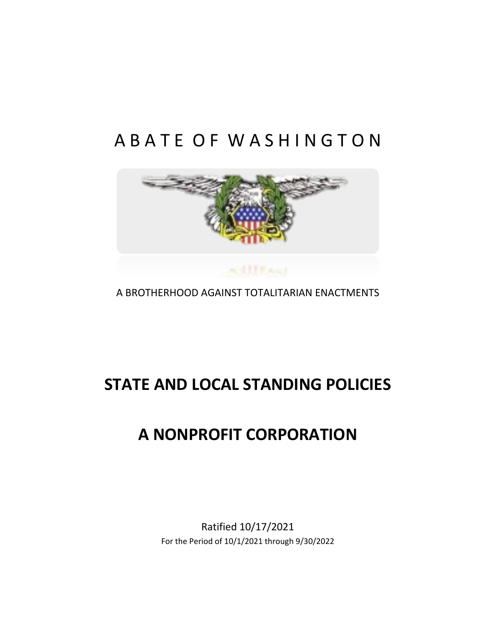# A B A T E O F W A S H I N G T O N



## A BROTHERHOOD AGAINST TOTALITARIAN ENACTMENTS

## **STATE AND LOCAL STANDING POLICIES**

## **A NONPROFIT CORPORATION**

Ratified 10/17/2021 For the Period of 10/1/2021 through 9/30/2022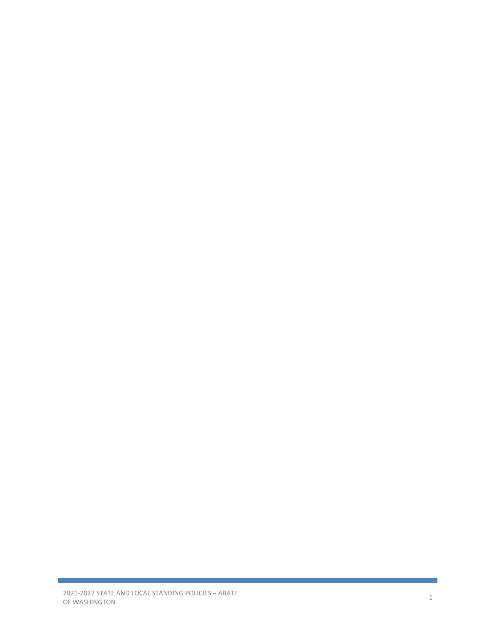T

ī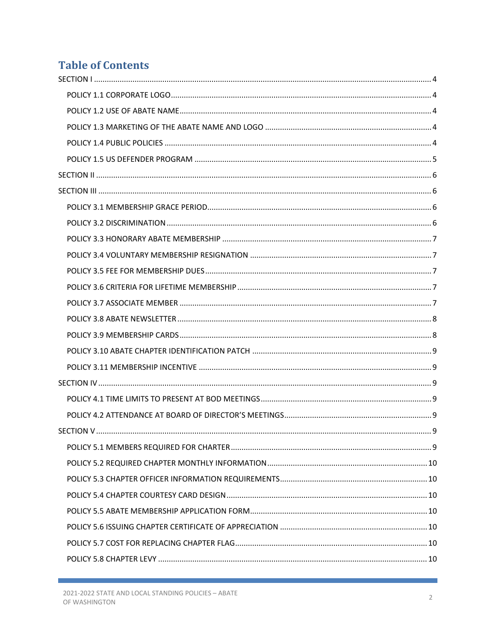## **Table of Contents**

ľ

ī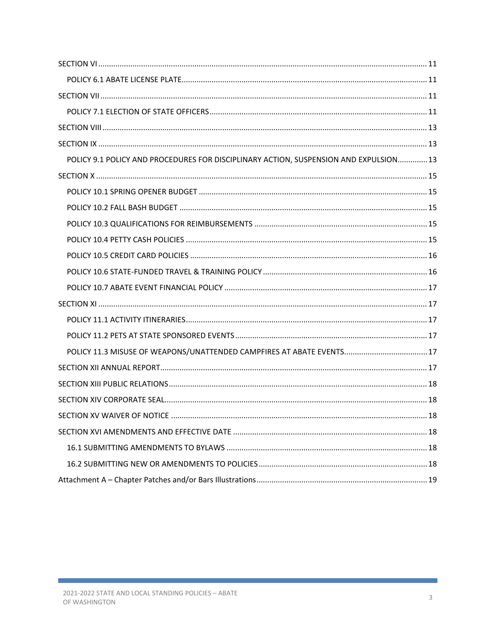| POLICY 9.1 POLICY AND PROCEDURES FOR DISCIPLINARY ACTION, SUSPENSION AND EXPULSION 13 |  |
|---------------------------------------------------------------------------------------|--|
|                                                                                       |  |
|                                                                                       |  |
|                                                                                       |  |
|                                                                                       |  |
|                                                                                       |  |
|                                                                                       |  |
|                                                                                       |  |
|                                                                                       |  |
|                                                                                       |  |
|                                                                                       |  |
|                                                                                       |  |
| POLICY 11.3 MISUSE OF WEAPONS/UNATTENDED CAMPFIRES AT ABATE EVENTS 17                 |  |
|                                                                                       |  |
|                                                                                       |  |
|                                                                                       |  |
|                                                                                       |  |
|                                                                                       |  |
|                                                                                       |  |
|                                                                                       |  |
|                                                                                       |  |

T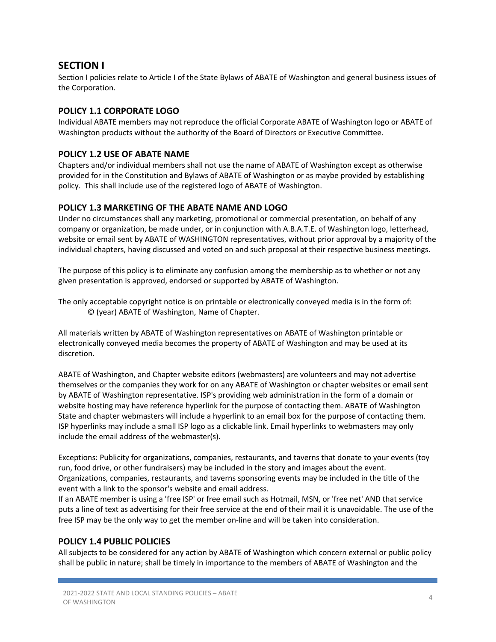## **SECTION I**

Section I policies relate to Article I of the State Bylaws of ABATE of Washington and general business issues of the Corporation.

## **POLICY 1.1 CORPORATE LOGO**

Individual ABATE members may not reproduce the official Corporate ABATE of Washington logo or ABATE of Washington products without the authority of the Board of Directors or Executive Committee.

### **POLICY 1.2 USE OF ABATE NAME**

Chapters and/or individual members shall not use the name of ABATE of Washington except as otherwise provided for in the Constitution and Bylaws of ABATE of Washington or as maybe provided by establishing policy. This shall include use of the registered logo of ABATE of Washington.

#### **POLICY 1.3 MARKETING OF THE ABATE NAME AND LOGO**

Under no circumstances shall any marketing, promotional or commercial presentation, on behalf of any company or organization, be made under, or in conjunction with A.B.A.T.E. of Washington logo, letterhead, website or email sent by ABATE of WASHINGTON representatives, without prior approval by a majority of the individual chapters, having discussed and voted on and such proposal at their respective business meetings.

The purpose of this policy is to eliminate any confusion among the membership as to whether or not any given presentation is approved, endorsed or supported by ABATE of Washington.

The only acceptable copyright notice is on printable or electronically conveyed media is in the form of: © (year) ABATE of Washington, Name of Chapter.

All materials written by ABATE of Washington representatives on ABATE of Washington printable or electronically conveyed media becomes the property of ABATE of Washington and may be used at its discretion.

ABATE of Washington, and Chapter website editors (webmasters) are volunteers and may not advertise themselves or the companies they work for on any ABATE of Washington or chapter websites or email sent by ABATE of Washington representative. ISP's providing web administration in the form of a domain or website hosting may have reference hyperlink for the purpose of contacting them. ABATE of Washington State and chapter webmasters will include a hyperlink to an email box for the purpose of contacting them. ISP hyperlinks may include a small ISP logo as a clickable link. Email hyperlinks to webmasters may only include the email address of the webmaster(s).

Exceptions: Publicity for organizations, companies, restaurants, and taverns that donate to your events (toy run, food drive, or other fundraisers) may be included in the story and images about the event. Organizations, companies, restaurants, and taverns sponsoring events may be included in the title of the event with a link to the sponsor's website and email address.

If an ABATE member is using a 'free ISP' or free email such as Hotmail, MSN, or 'free net' AND that service puts a line of text as advertising for their free service at the end of their mail it is unavoidable. The use of the free ISP may be the only way to get the member on-line and will be taken into consideration.

## **POLICY 1.4 PUBLIC POLICIES**

All subjects to be considered for any action by ABATE of Washington which concern external or public policy shall be public in nature; shall be timely in importance to the members of ABATE of Washington and the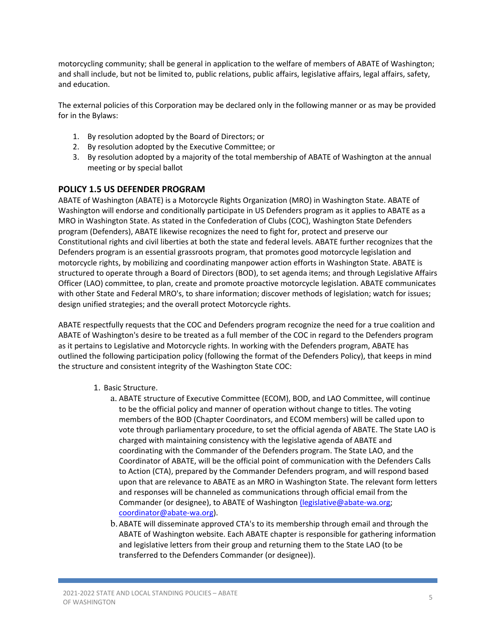motorcycling community; shall be general in application to the welfare of members of ABATE of Washington; and shall include, but not be limited to, public relations, public affairs, legislative affairs, legal affairs, safety, and education.

The external policies of this Corporation may be declared only in the following manner or as may be provided for in the Bylaws:

- 1. By resolution adopted by the Board of Directors; or
- 2. By resolution adopted by the Executive Committee; or
- 3. By resolution adopted by a majority of the total membership of ABATE of Washington at the annual meeting or by special ballot

## **POLICY 1.5 US DEFENDER PROGRAM**

ABATE of Washington (ABATE) is a Motorcycle Rights Organization (MRO) in Washington State. ABATE of Washington will endorse and conditionally participate in US Defenders program as it applies to ABATE as a MRO in Washington State. As stated in the Confederation of Clubs (COC), Washington State Defenders program (Defenders), ABATE likewise recognizes the need to fight for, protect and preserve our Constitutional rights and civil liberties at both the state and federal levels. ABATE further recognizes that the Defenders program is an essential grassroots program, that promotes good motorcycle legislation and motorcycle rights, by mobilizing and coordinating manpower action efforts in Washington State. ABATE is structured to operate through a Board of Directors (BOD), to set agenda items; and through Legislative Affairs Officer (LAO) committee, to plan, create and promote proactive motorcycle legislation. ABATE communicates with other State and Federal MRO's, to share information; discover methods of legislation; watch for issues; design unified strategies; and the overall protect Motorcycle rights.

ABATE respectfully requests that the COC and Defenders program recognize the need for a true coalition and ABATE of Washington's desire to be treated as a full member of the COC in regard to the Defenders program as it pertains to Legislative and Motorcycle rights. In working with the Defenders program, ABATE has outlined the following participation policy (following the format of the Defenders Policy), that keeps in mind the structure and consistent integrity of the Washington State COC:

- 1. Basic Structure.
	- a. ABATE structure of Executive Committee (ECOM), BOD, and LAO Committee, will continue to be the official policy and manner of operation without change to titles. The voting members of the BOD (Chapter Coordinators, and ECOM members) will be called upon to vote through parliamentary procedure, to set the official agenda of ABATE. The State LAO is charged with maintaining consistency with the legislative agenda of ABATE and coordinating with the Commander of the Defenders program. The State LAO, and the Coordinator of ABATE, will be the official point of communication with the Defenders Calls to Action (CTA), prepared by the Commander Defenders program, and will respond based upon that are relevance to ABATE as an MRO in Washington State. The relevant form letters and responses will be channeled as communications through official email from the Commander (or designee), to ABATE of Washington (legislative@abate-wa.org; coordinator@abate-wa.org).
	- b.ABATE will disseminate approved CTA's to its membership through email and through the ABATE of Washington website. Each ABATE chapter is responsible for gathering information and legislative letters from their group and returning them to the State LAO (to be transferred to the Defenders Commander (or designee)).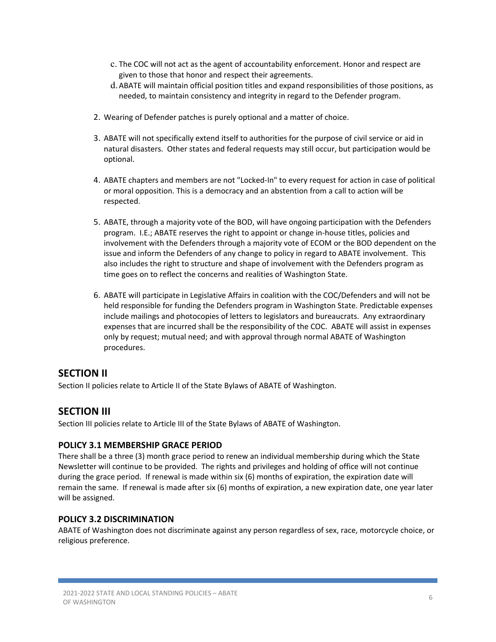- c. The COC will not act as the agent of accountability enforcement. Honor and respect are given to those that honor and respect their agreements.
- d.ABATE will maintain official position titles and expand responsibilities of those positions, as needed, to maintain consistency and integrity in regard to the Defender program.
- 2. Wearing of Defender patches is purely optional and a matter of choice.
- 3. ABATE will not specifically extend itself to authorities for the purpose of civil service or aid in natural disasters. Other states and federal requests may still occur, but participation would be optional.
- 4. ABATE chapters and members are not "Locked-In" to every request for action in case of political or moral opposition. This is a democracy and an abstention from a call to action will be respected.
- 5. ABATE, through a majority vote of the BOD, will have ongoing participation with the Defenders program. I.E.; ABATE reserves the right to appoint or change in-house titles, policies and involvement with the Defenders through a majority vote of ECOM or the BOD dependent on the issue and inform the Defenders of any change to policy in regard to ABATE involvement. This also includes the right to structure and shape of involvement with the Defenders program as time goes on to reflect the concerns and realities of Washington State.
- 6. ABATE will participate in Legislative Affairs in coalition with the COC/Defenders and will not be held responsible for funding the Defenders program in Washington State. Predictable expenses include mailings and photocopies of letters to legislators and bureaucrats. Any extraordinary expenses that are incurred shall be the responsibility of the COC. ABATE will assist in expenses only by request; mutual need; and with approval through normal ABATE of Washington procedures.

## **SECTION II**

Section II policies relate to Article II of the State Bylaws of ABATE of Washington.

## **SECTION III**

Section III policies relate to Article III of the State Bylaws of ABATE of Washington.

#### **POLICY 3.1 MEMBERSHIP GRACE PERIOD**

There shall be a three (3) month grace period to renew an individual membership during which the State Newsletter will continue to be provided. The rights and privileges and holding of office will not continue during the grace period. If renewal is made within six (6) months of expiration, the expiration date will remain the same. If renewal is made after six (6) months of expiration, a new expiration date, one year later will be assigned.

## **POLICY 3.2 DISCRIMINATION**

ABATE of Washington does not discriminate against any person regardless of sex, race, motorcycle choice, or religious preference.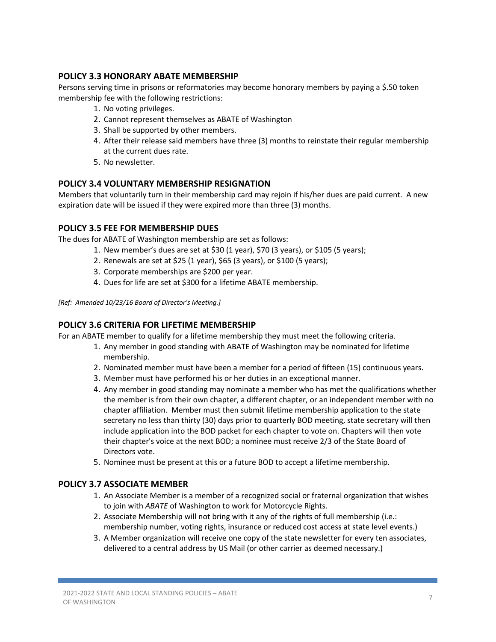## **POLICY 3.3 HONORARY ABATE MEMBERSHIP**

Persons serving time in prisons or reformatories may become honorary members by paying a \$.50 token membership fee with the following restrictions:

- 1. No voting privileges.
- 2. Cannot represent themselves as ABATE of Washington
- 3. Shall be supported by other members.
- 4. After their release said members have three (3) months to reinstate their regular membership at the current dues rate.
- 5. No newsletter.

## **POLICY 3.4 VOLUNTARY MEMBERSHIP RESIGNATION**

Members that voluntarily turn in their membership card may rejoin if his/her dues are paid current. A new expiration date will be issued if they were expired more than three (3) months.

## **POLICY 3.5 FEE FOR MEMBERSHIP DUES**

The dues for ABATE of Washington membership are set as follows:

- 1. New member's dues are set at \$30 (1 year), \$70 (3 years), or \$105 (5 years);
- 2. Renewals are set at \$25 (1 year), \$65 (3 years), or \$100 (5 years);
- 3. Corporate memberships are \$200 per year.
- 4. Dues for life are set at \$300 for a lifetime ABATE membership.

*[Ref: Amended 10/23/16 Board of Director's Meeting.]*

## **POLICY 3.6 CRITERIA FOR LIFETIME MEMBERSHIP**

For an ABATE member to qualify for a lifetime membership they must meet the following criteria.

- 1. Any member in good standing with ABATE of Washington may be nominated for lifetime membership.
- 2. Nominated member must have been a member for a period of fifteen (15) continuous years.
- 3. Member must have performed his or her duties in an exceptional manner.
- 4. Any member in good standing may nominate a member who has met the qualifications whether the member is from their own chapter, a different chapter, or an independent member with no chapter affiliation. Member must then submit lifetime membership application to the state secretary no less than thirty (30) days prior to quarterly BOD meeting, state secretary will then include application into the BOD packet for each chapter to vote on. Chapters will then vote their chapter's voice at the next BOD; a nominee must receive 2/3 of the State Board of Directors vote.
- 5. Nominee must be present at this or a future BOD to accept a lifetime membership.

#### **POLICY 3.7 ASSOCIATE MEMBER**

- 1. An Associate Member is a member of a recognized social or fraternal organization that wishes to join with *ABATE* of Washington to work for Motorcycle Rights.
- 2. Associate Membership will not bring with it any of the rights of full membership (i.e.: membership number, voting rights, insurance or reduced cost access at state level events.)
- 3. A Member organization will receive one copy of the state newsletter for every ten associates, delivered to a central address by US Mail (or other carrier as deemed necessary.)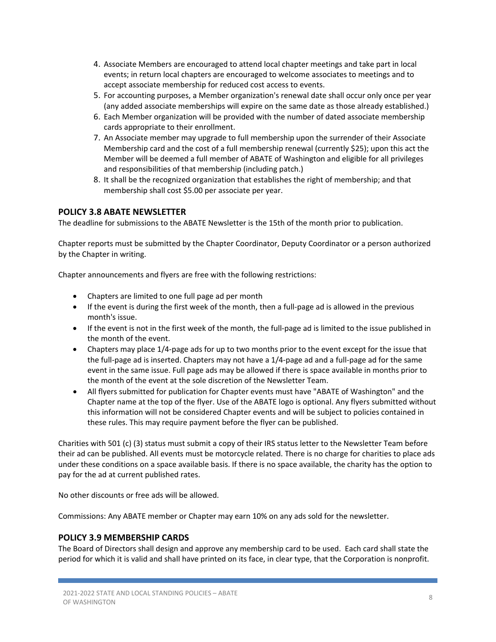- 4. Associate Members are encouraged to attend local chapter meetings and take part in local events; in return local chapters are encouraged to welcome associates to meetings and to accept associate membership for reduced cost access to events.
- 5. For accounting purposes, a Member organization's renewal date shall occur only once per year (any added associate memberships will expire on the same date as those already established.)
- 6. Each Member organization will be provided with the number of dated associate membership cards appropriate to their enrollment.
- 7. An Associate member may upgrade to full membership upon the surrender of their Associate Membership card and the cost of a full membership renewal (currently \$25); upon this act the Member will be deemed a full member of ABATE of Washington and eligible for all privileges and responsibilities of that membership (including patch.)
- 8. It shall be the recognized organization that establishes the right of membership; and that membership shall cost \$5.00 per associate per year.

#### **POLICY 3.8 ABATE NEWSLETTER**

The deadline for submissions to the ABATE Newsletter is the 15th of the month prior to publication.

Chapter reports must be submitted by the Chapter Coordinator, Deputy Coordinator or a person authorized by the Chapter in writing.

Chapter announcements and flyers are free with the following restrictions:

- Chapters are limited to one full page ad per month
- If the event is during the first week of the month, then a full-page ad is allowed in the previous month's issue.
- If the event is not in the first week of the month, the full-page ad is limited to the issue published in the month of the event.
- Chapters may place 1/4-page ads for up to two months prior to the event except for the issue that the full-page ad is inserted. Chapters may not have a 1/4-page ad and a full-page ad for the same event in the same issue. Full page ads may be allowed if there is space available in months prior to the month of the event at the sole discretion of the Newsletter Team.
- All flyers submitted for publication for Chapter events must have "ABATE of Washington" and the Chapter name at the top of the flyer. Use of the ABATE logo is optional. Any flyers submitted without this information will not be considered Chapter events and will be subject to policies contained in these rules. This may require payment before the flyer can be published.

Charities with 501 (c) (3) status must submit a copy of their IRS status letter to the Newsletter Team before their ad can be published. All events must be motorcycle related. There is no charge for charities to place ads under these conditions on a space available basis. If there is no space available, the charity has the option to pay for the ad at current published rates.

No other discounts or free ads will be allowed.

Commissions: Any ABATE member or Chapter may earn 10% on any ads sold for the newsletter.

## **POLICY 3.9 MEMBERSHIP CARDS**

The Board of Directors shall design and approve any membership card to be used. Each card shall state the period for which it is valid and shall have printed on its face, in clear type, that the Corporation is nonprofit.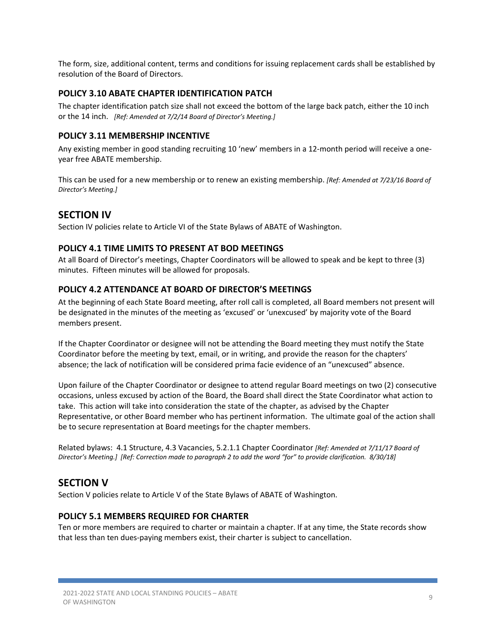The form, size, additional content, terms and conditions for issuing replacement cards shall be established by resolution of the Board of Directors.

## **POLICY 3.10 ABATE CHAPTER IDENTIFICATION PATCH**

The chapter identification patch size shall not exceed the bottom of the large back patch, either the 10 inch or the 14 inch. *[Ref: Amended at 7/2/14 Board of Director's Meeting.]*

#### **POLICY 3.11 MEMBERSHIP INCENTIVE**

Any existing member in good standing recruiting 10 'new' members in a 12-month period will receive a oneyear free ABATE membership.

This can be used for a new membership or to renew an existing membership. *[Ref: Amended at 7/23/16 Board of Director's Meeting.]*

## **SECTION IV**

Section IV policies relate to Article VI of the State Bylaws of ABATE of Washington.

#### **POLICY 4.1 TIME LIMITS TO PRESENT AT BOD MEETINGS**

At all Board of Director's meetings, Chapter Coordinators will be allowed to speak and be kept to three (3) minutes. Fifteen minutes will be allowed for proposals.

#### **POLICY 4.2 ATTENDANCE AT BOARD OF DIRECTOR'S MEETINGS**

At the beginning of each State Board meeting, after roll call is completed, all Board members not present will be designated in the minutes of the meeting as 'excused' or 'unexcused' by majority vote of the Board members present.

If the Chapter Coordinator or designee will not be attending the Board meeting they must notify the State Coordinator before the meeting by text, email, or in writing, and provide the reason for the chapters' absence; the lack of notification will be considered prima facie evidence of an "unexcused" absence.

Upon failure of the Chapter Coordinator or designee to attend regular Board meetings on two (2) consecutive occasions, unless excused by action of the Board, the Board shall direct the State Coordinator what action to take. This action will take into consideration the state of the chapter, as advised by the Chapter Representative, or other Board member who has pertinent information. The ultimate goal of the action shall be to secure representation at Board meetings for the chapter members.

Related bylaws: 4.1 Structure, 4.3 Vacancies, 5.2.1.1 Chapter Coordinator *[Ref: Amended at 7/11/17 Board of Director's Meeting.] [Ref: Correction made to paragraph 2 to add the word "for" to provide clarification. 8/30/18]*

## **SECTION V**

Section V policies relate to Article V of the State Bylaws of ABATE of Washington.

#### **POLICY 5.1 MEMBERS REQUIRED FOR CHARTER**

Ten or more members are required to charter or maintain a chapter. If at any time, the State records show that less than ten dues-paying members exist, their charter is subject to cancellation.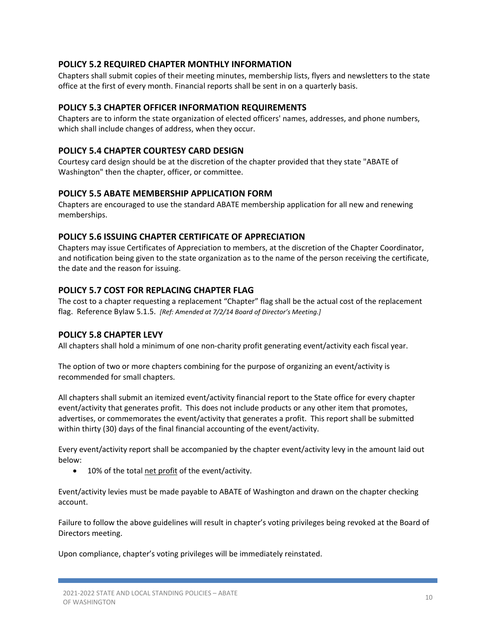## **POLICY 5.2 REQUIRED CHAPTER MONTHLY INFORMATION**

Chapters shall submit copies of their meeting minutes, membership lists, flyers and newsletters to the state office at the first of every month. Financial reports shall be sent in on a quarterly basis.

### **POLICY 5.3 CHAPTER OFFICER INFORMATION REQUIREMENTS**

Chapters are to inform the state organization of elected officers' names, addresses, and phone numbers, which shall include changes of address, when they occur.

#### **POLICY 5.4 CHAPTER COURTESY CARD DESIGN**

Courtesy card design should be at the discretion of the chapter provided that they state "ABATE of Washington" then the chapter, officer, or committee.

#### **POLICY 5.5 ABATE MEMBERSHIP APPLICATION FORM**

Chapters are encouraged to use the standard ABATE membership application for all new and renewing memberships.

#### **POLICY 5.6 ISSUING CHAPTER CERTIFICATE OF APPRECIATION**

Chapters may issue Certificates of Appreciation to members, at the discretion of the Chapter Coordinator, and notification being given to the state organization as to the name of the person receiving the certificate, the date and the reason for issuing.

## **POLICY 5.7 COST FOR REPLACING CHAPTER FLAG**

The cost to a chapter requesting a replacement "Chapter" flag shall be the actual cost of the replacement flag. Reference Bylaw 5.1.5. *[Ref: Amended at 7/2/14 Board of Director's Meeting.]*

#### **POLICY 5.8 CHAPTER LEVY**

All chapters shall hold a minimum of one non-charity profit generating event/activity each fiscal year.

The option of two or more chapters combining for the purpose of organizing an event/activity is recommended for small chapters.

All chapters shall submit an itemized event/activity financial report to the State office for every chapter event/activity that generates profit. This does not include products or any other item that promotes, advertises, or commemorates the event/activity that generates a profit. This report shall be submitted within thirty (30) days of the final financial accounting of the event/activity.

Every event/activity report shall be accompanied by the chapter event/activity levy in the amount laid out below:

• 10% of the total net profit of the event/activity.

Event/activity levies must be made payable to ABATE of Washington and drawn on the chapter checking account.

Failure to follow the above guidelines will result in chapter's voting privileges being revoked at the Board of Directors meeting.

Upon compliance, chapter's voting privileges will be immediately reinstated.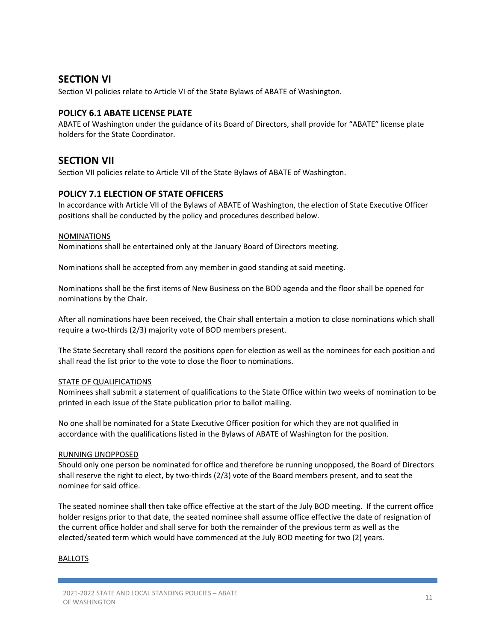## **SECTION VI**

Section VI policies relate to Article VI of the State Bylaws of ABATE of Washington.

#### **POLICY 6.1 ABATE LICENSE PLATE**

ABATE of Washington under the guidance of its Board of Directors, shall provide for "ABATE" license plate holders for the State Coordinator.

## **SECTION VII**

Section VII policies relate to Article VII of the State Bylaws of ABATE of Washington.

#### **POLICY 7.1 ELECTION OF STATE OFFICERS**

In accordance with Article VII of the Bylaws of ABATE of Washington, the election of State Executive Officer positions shall be conducted by the policy and procedures described below.

#### NOMINATIONS

Nominations shall be entertained only at the January Board of Directors meeting.

Nominations shall be accepted from any member in good standing at said meeting.

Nominations shall be the first items of New Business on the BOD agenda and the floor shall be opened for nominations by the Chair.

After all nominations have been received, the Chair shall entertain a motion to close nominations which shall require a two-thirds (2/3) majority vote of BOD members present.

The State Secretary shall record the positions open for election as well as the nominees for each position and shall read the list prior to the vote to close the floor to nominations.

#### STATE OF QUALIFICATIONS

Nominees shall submit a statement of qualifications to the State Office within two weeks of nomination to be printed in each issue of the State publication prior to ballot mailing.

No one shall be nominated for a State Executive Officer position for which they are not qualified in accordance with the qualifications listed in the Bylaws of ABATE of Washington for the position.

#### RUNNING UNOPPOSED

Should only one person be nominated for office and therefore be running unopposed, the Board of Directors shall reserve the right to elect, by two-thirds (2/3) vote of the Board members present, and to seat the nominee for said office.

The seated nominee shall then take office effective at the start of the July BOD meeting. If the current office holder resigns prior to that date, the seated nominee shall assume office effective the date of resignation of the current office holder and shall serve for both the remainder of the previous term as well as the elected/seated term which would have commenced at the July BOD meeting for two (2) years.

#### BALLOTS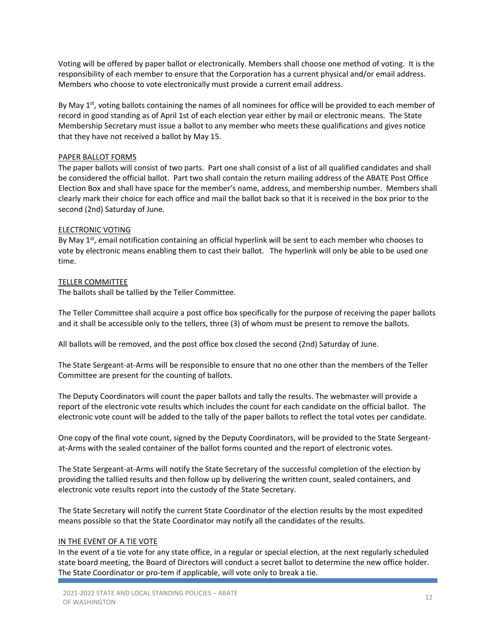Voting will be offered by paper ballot or electronically. Members shall choose one method of voting. It is the responsibility of each member to ensure that the Corporation has a current physical and/or email address. Members who choose to vote electronically must provide a current email address.

By May 1<sup>st</sup>, voting ballots containing the names of all nominees for office will be provided to each member of record in good standing as of April 1st of each election year either by mail or electronic means. The State Membership Secretary must issue a ballot to any member who meets these qualifications and gives notice that they have not received a ballot by May 15.

#### PAPER BALLOT FORMS

The paper ballots will consist of two parts. Part one shall consist of a list of all qualified candidates and shall be considered the official ballot. Part two shall contain the return mailing address of the ABATE Post Office Election Box and shall have space for the member's name, address, and membership number. Members shall clearly mark their choice for each office and mail the ballot back so that it is received in the box prior to the second (2nd) Saturday of June.

#### ELECTRONIC VOTING

By May 1<sup>st</sup>, email notification containing an official hyperlink will be sent to each member who chooses to vote by electronic means enabling them to cast their ballot. The hyperlink will only be able to be used one time.

#### TELLER COMMITTEE

The ballots shall be tallied by the Teller Committee.

The Teller Committee shall acquire a post office box specifically for the purpose of receiving the paper ballots and it shall be accessible only to the tellers, three (3) of whom must be present to remove the ballots.

All ballots will be removed, and the post office box closed the second (2nd) Saturday of June.

The State Sergeant-at-Arms will be responsible to ensure that no one other than the members of the Teller Committee are present for the counting of ballots.

The Deputy Coordinators will count the paper ballots and tally the results. The webmaster will provide a report of the electronic vote results which includes the count for each candidate on the official ballot. The electronic vote count will be added to the tally of the paper ballots to reflect the total votes per candidate.

One copy of the final vote count, signed by the Deputy Coordinators, will be provided to the State Sergeantat-Arms with the sealed container of the ballot forms counted and the report of electronic votes.

The State Sergeant-at-Arms will notify the State Secretary of the successful completion of the election by providing the tallied results and then follow up by delivering the written count, sealed containers, and electronic vote results report into the custody of the State Secretary.

The State Secretary will notify the current State Coordinator of the election results by the most expedited means possible so that the State Coordinator may notify all the candidates of the results.

#### IN THE EVENT OF A TIE VOTE

In the event of a tie vote for any state office, in a regular or special election, at the next regularly scheduled state board meeting, the Board of Directors will conduct a secret ballot to determine the new office holder. The State Coordinator or pro-tem if applicable, will vote only to break a tie.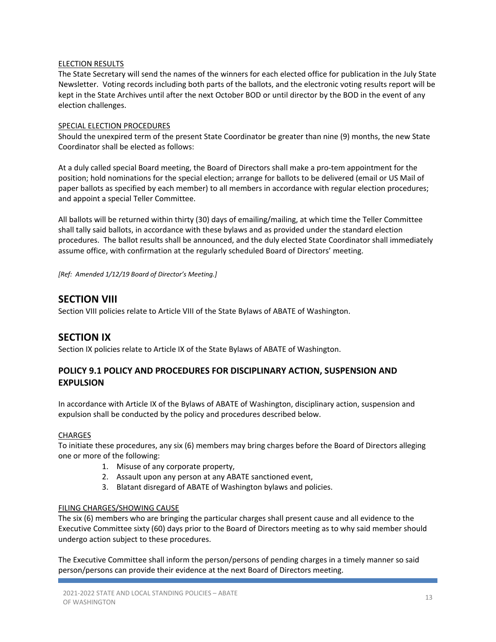#### ELECTION RESULTS

The State Secretary will send the names of the winners for each elected office for publication in the July State Newsletter. Voting records including both parts of the ballots, and the electronic voting results report will be kept in the State Archives until after the next October BOD or until director by the BOD in the event of any election challenges.

#### SPECIAL ELECTION PROCEDURES

Should the unexpired term of the present State Coordinator be greater than nine (9) months, the new State Coordinator shall be elected as follows:

At a duly called special Board meeting, the Board of Directors shall make a pro-tem appointment for the position; hold nominations for the special election; arrange for ballots to be delivered (email or US Mail of paper ballots as specified by each member) to all members in accordance with regular election procedures; and appoint a special Teller Committee.

All ballots will be returned within thirty (30) days of emailing/mailing, at which time the Teller Committee shall tally said ballots, in accordance with these bylaws and as provided under the standard election procedures. The ballot results shall be announced, and the duly elected State Coordinator shall immediately assume office, with confirmation at the regularly scheduled Board of Directors' meeting.

*[Ref: Amended 1/12/19 Board of Director's Meeting.]*

## **SECTION VIII**

Section VIII policies relate to Article VIII of the State Bylaws of ABATE of Washington.

## **SECTION IX**

Section IX policies relate to Article IX of the State Bylaws of ABATE of Washington.

## **POLICY 9.1 POLICY AND PROCEDURES FOR DISCIPLINARY ACTION, SUSPENSION AND EXPULSION**

In accordance with Article IX of the Bylaws of ABATE of Washington, disciplinary action, suspension and expulsion shall be conducted by the policy and procedures described below.

#### CHARGES

To initiate these procedures, any six (6) members may bring charges before the Board of Directors alleging one or more of the following:

- 1. Misuse of any corporate property,
- 2. Assault upon any person at any ABATE sanctioned event,
- 3. Blatant disregard of ABATE of Washington bylaws and policies.

#### FILING CHARGES/SHOWING CAUSE

The six (6) members who are bringing the particular charges shall present cause and all evidence to the Executive Committee sixty (60) days prior to the Board of Directors meeting as to why said member should undergo action subject to these procedures.

The Executive Committee shall inform the person/persons of pending charges in a timely manner so said person/persons can provide their evidence at the next Board of Directors meeting.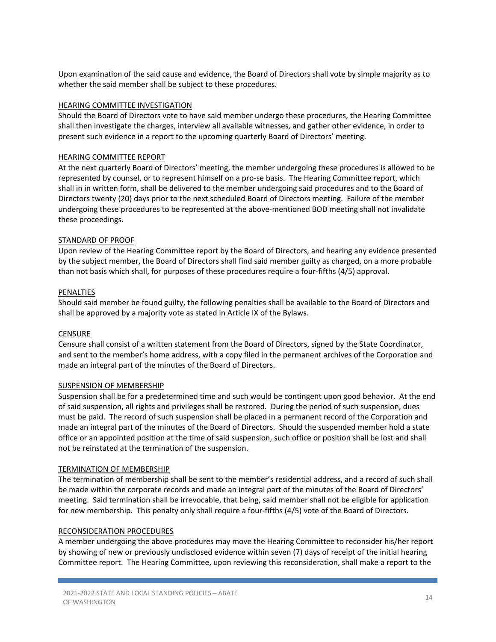Upon examination of the said cause and evidence, the Board of Directors shall vote by simple majority as to whether the said member shall be subject to these procedures.

#### HEARING COMMITTEE INVESTIGATION

Should the Board of Directors vote to have said member undergo these procedures, the Hearing Committee shall then investigate the charges, interview all available witnesses, and gather other evidence, in order to present such evidence in a report to the upcoming quarterly Board of Directors' meeting.

#### HEARING COMMITTEE REPORT

At the next quarterly Board of Directors' meeting, the member undergoing these procedures is allowed to be represented by counsel, or to represent himself on a pro-se basis. The Hearing Committee report, which shall in in written form, shall be delivered to the member undergoing said procedures and to the Board of Directors twenty (20) days prior to the next scheduled Board of Directors meeting. Failure of the member undergoing these procedures to be represented at the above-mentioned BOD meeting shall not invalidate these proceedings.

#### STANDARD OF PROOF

Upon review of the Hearing Committee report by the Board of Directors, and hearing any evidence presented by the subject member, the Board of Directors shall find said member guilty as charged, on a more probable than not basis which shall, for purposes of these procedures require a four-fifths (4/5) approval.

#### PENALTIES

Should said member be found guilty, the following penalties shall be available to the Board of Directors and shall be approved by a majority vote as stated in Article IX of the Bylaws.

#### **CENSURE**

Censure shall consist of a written statement from the Board of Directors, signed by the State Coordinator, and sent to the member's home address, with a copy filed in the permanent archives of the Corporation and made an integral part of the minutes of the Board of Directors.

#### SUSPENSION OF MEMBERSHIP

Suspension shall be for a predetermined time and such would be contingent upon good behavior. At the end of said suspension, all rights and privileges shall be restored. During the period of such suspension, dues must be paid. The record of such suspension shall be placed in a permanent record of the Corporation and made an integral part of the minutes of the Board of Directors. Should the suspended member hold a state office or an appointed position at the time of said suspension, such office or position shall be lost and shall not be reinstated at the termination of the suspension.

#### TERMINATION OF MEMBERSHIP

The termination of membership shall be sent to the member's residential address, and a record of such shall be made within the corporate records and made an integral part of the minutes of the Board of Directors' meeting. Said termination shall be irrevocable, that being, said member shall not be eligible for application for new membership. This penalty only shall require a four-fifths (4/5) vote of the Board of Directors.

#### RECONSIDERATION PROCEDURES

A member undergoing the above procedures may move the Hearing Committee to reconsider his/her report by showing of new or previously undisclosed evidence within seven (7) days of receipt of the initial hearing Committee report. The Hearing Committee, upon reviewing this reconsideration, shall make a report to the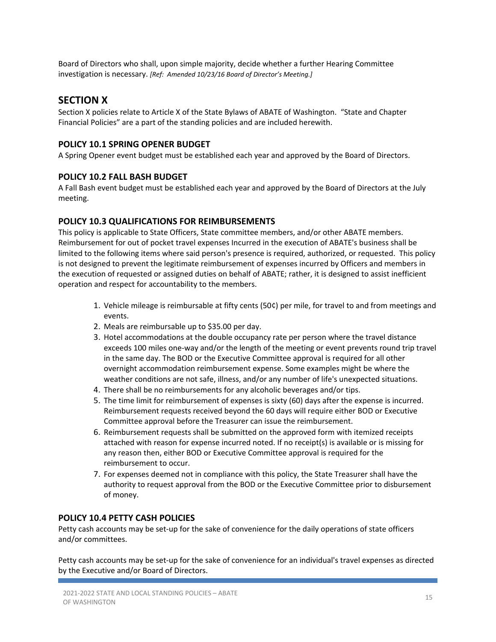Board of Directors who shall, upon simple majority, decide whether a further Hearing Committee investigation is necessary. *[Ref: Amended 10/23/16 Board of Director's Meeting.]*

## **SECTION X**

Section X policies relate to Article X of the State Bylaws of ABATE of Washington. "State and Chapter Financial Policies" are a part of the standing policies and are included herewith.

## **POLICY 10.1 SPRING OPENER BUDGET**

A Spring Opener event budget must be established each year and approved by the Board of Directors.

## **POLICY 10.2 FALL BASH BUDGET**

A Fall Bash event budget must be established each year and approved by the Board of Directors at the July meeting.

## **POLICY 10.3 QUALIFICATIONS FOR REIMBURSEMENTS**

This policy is applicable to State Officers, State committee members, and/or other ABATE members. Reimbursement for out of pocket travel expenses Incurred in the execution of ABATE's business shall be limited to the following items where said person's presence is required, authorized, or requested. This policy is not designed to prevent the legitimate reimbursement of expenses incurred by Officers and members in the execution of requested or assigned duties on behalf of ABATE; rather, it is designed to assist inefficient operation and respect for accountability to the members.

- 1. Vehicle mileage is reimbursable at fifty cents (50¢) per mile, for travel to and from meetings and events.
- 2. Meals are reimbursable up to \$35.00 per day.
- 3. Hotel accommodations at the double occupancy rate per person where the travel distance exceeds 100 miles one-way and/or the length of the meeting or event prevents round trip travel in the same day. The BOD or the Executive Committee approval is required for all other overnight accommodation reimbursement expense. Some examples might be where the weather conditions are not safe, illness, and/or any number of life's unexpected situations.
- 4. There shall be no reimbursements for any alcoholic beverages and/or tips.
- 5. The time limit for reimbursement of expenses is sixty (60) days after the expense is incurred. Reimbursement requests received beyond the 60 days will require either BOD or Executive Committee approval before the Treasurer can issue the reimbursement.
- 6. Reimbursement requests shall be submitted on the approved form with itemized receipts attached with reason for expense incurred noted. If no receipt(s) is available or is missing for any reason then, either BOD or Executive Committee approval is required for the reimbursement to occur.
- 7. For expenses deemed not in compliance with this policy, the State Treasurer shall have the authority to request approval from the BOD or the Executive Committee prior to disbursement of money.

## **POLICY 10.4 PETTY CASH POLICIES**

Petty cash accounts may be set-up for the sake of convenience for the daily operations of state officers and/or committees.

Petty cash accounts may be set-up for the sake of convenience for an individual's travel expenses as directed by the Executive and/or Board of Directors.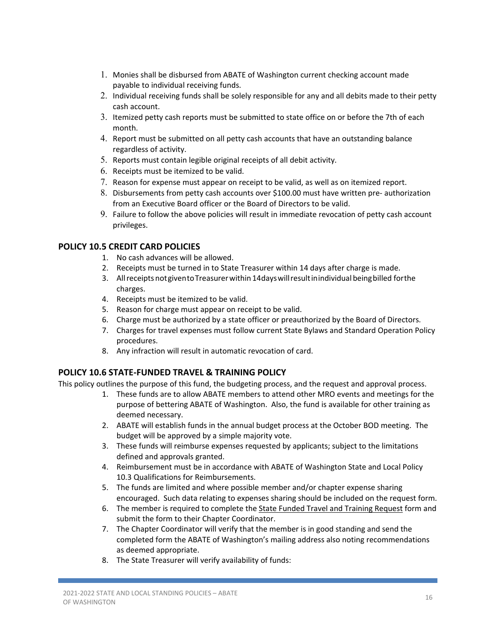- 1. Monies shall be disbursed from ABATE of Washington current checking account made payable to individual receiving funds.
- 2. Individual receiving funds shall be solely responsible for any and all debits made to their petty cash account.
- 3. Itemized petty cash reports must be submitted to state office on or before the 7th of each month.
- 4. Report must be submitted on all petty cash accounts that have an outstanding balance regardless of activity.
- 5. Reports must contain legible original receipts of all debit activity.
- 6. Receipts must be itemized to be valid.
- 7. Reason for expense must appear on receipt to be valid, as well as on itemized report.
- 8. Disbursements from petty cash accounts over \$100.00 must have written pre- authorization from an Executive Board officer or the Board of Directors to be valid.
- 9. Failure to follow the above policies will result in immediate revocation of petty cash account privileges.

## **POLICY 10.5 CREDIT CARD POLICIES**

- 1. No cash advances will be allowed.
- 2. Receipts must be turned in to State Treasurer within 14 days after charge is made.
- 3. Allreceipts notgiventoTreasurerwithin 14dayswillresultinindividual beingbilled forthe charges.
- 4. Receipts must be itemized to be valid.
- 5. Reason for charge must appear on receipt to be valid.
- 6. Charge must be authorized by a state officer or preauthorized by the Board of Directors.
- 7. Charges for travel expenses must follow current State Bylaws and Standard Operation Policy procedures.
- 8. Any infraction will result in automatic revocation of card.

## **POLICY 10.6 STATE-FUNDED TRAVEL & TRAINING POLICY**

This policy outlines the purpose of this fund, the budgeting process, and the request and approval process.

- 1. These funds are to allow ABATE members to attend other MRO events and meetings for the purpose of bettering ABATE of Washington. Also, the fund is available for other training as deemed necessary.
- 2. ABATE will establish funds in the annual budget process at the October BOD meeting. The budget will be approved by a simple majority vote.
- 3. These funds will reimburse expenses requested by applicants; subject to the limitations defined and approvals granted.
- 4. Reimbursement must be in accordance with ABATE of Washington State and Local Policy 10.3 Qualifications for Reimbursements.
- 5. The funds are limited and where possible member and/or chapter expense sharing encouraged. Such data relating to expenses sharing should be included on the request form.
- 6. The member is required to complete the **State Funded Travel and Training Request** form and submit the form to their Chapter Coordinator.
- 7. The Chapter Coordinator will verify that the member is in good standing and send the completed form the ABATE of Washington's mailing address also noting recommendations as deemed appropriate.
- 8. The State Treasurer will verify availability of funds: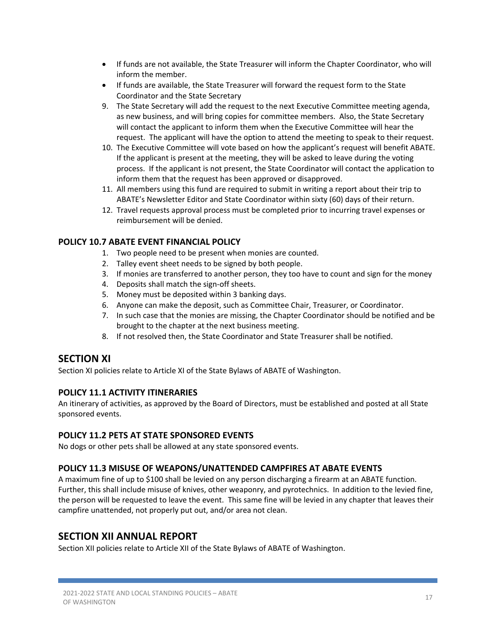- If funds are not available, the State Treasurer will inform the Chapter Coordinator, who will inform the member.
- If funds are available, the State Treasurer will forward the request form to the State Coordinator and the State Secretary
- 9. The State Secretary will add the request to the next Executive Committee meeting agenda, as new business, and will bring copies for committee members. Also, the State Secretary will contact the applicant to inform them when the Executive Committee will hear the request. The applicant will have the option to attend the meeting to speak to their request.
- 10. The Executive Committee will vote based on how the applicant's request will benefit ABATE. If the applicant is present at the meeting, they will be asked to leave during the voting process. If the applicant is not present, the State Coordinator will contact the application to inform them that the request has been approved or disapproved.
- 11. All members using this fund are required to submit in writing a report about their trip to ABATE's Newsletter Editor and State Coordinator within sixty (60) days of their return.
- 12. Travel requests approval process must be completed prior to incurring travel expenses or reimbursement will be denied.

## **POLICY 10.7 ABATE EVENT FINANCIAL POLICY**

- 1. Two people need to be present when monies are counted.
- 2. Talley event sheet needs to be signed by both people.
- 3. If monies are transferred to another person, they too have to count and sign for the money
- 4. Deposits shall match the sign-off sheets.
- 5. Money must be deposited within 3 banking days.
- 6. Anyone can make the deposit, such as Committee Chair, Treasurer, or Coordinator.
- 7. In such case that the monies are missing, the Chapter Coordinator should be notified and be brought to the chapter at the next business meeting.
- 8. If not resolved then, the State Coordinator and State Treasurer shall be notified.

## **SECTION XI**

Section XI policies relate to Article XI of the State Bylaws of ABATE of Washington.

### **POLICY 11.1 ACTIVITY ITINERARIES**

An itinerary of activities, as approved by the Board of Directors, must be established and posted at all State sponsored events.

#### **POLICY 11.2 PETS AT STATE SPONSORED EVENTS**

No dogs or other pets shall be allowed at any state sponsored events.

#### **POLICY 11.3 MISUSE OF WEAPONS/UNATTENDED CAMPFIRES AT ABATE EVENTS**

A maximum fine of up to \$100 shall be levied on any person discharging a firearm at an ABATE function. Further, this shall include misuse of knives, other weaponry, and pyrotechnics. In addition to the levied fine, the person will be requested to leave the event. This same fine will be levied in any chapter that leaves their campfire unattended, not properly put out, and/or area not clean.

## **SECTION XII ANNUAL REPORT**

Section XII policies relate to Article XII of the State Bylaws of ABATE of Washington.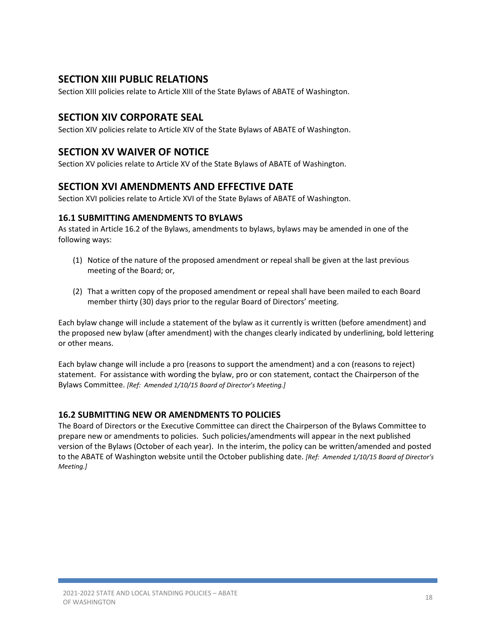## **SECTION XIII PUBLIC RELATIONS**

Section XIII policies relate to Article XIII of the State Bylaws of ABATE of Washington.

## **SECTION XIV CORPORATE SEAL**

Section XIV policies relate to Article XIV of the State Bylaws of ABATE of Washington.

## **SECTION XV WAIVER OF NOTICE**

Section XV policies relate to Article XV of the State Bylaws of ABATE of Washington.

## **SECTION XVI AMENDMENTS AND EFFECTIVE DATE**

Section XVI policies relate to Article XVI of the State Bylaws of ABATE of Washington.

## **16.1 SUBMITTING AMENDMENTS TO BYLAWS**

As stated in Article 16.2 of the Bylaws, amendments to bylaws, bylaws may be amended in one of the following ways:

- (1) Notice of the nature of the proposed amendment or repeal shall be given at the last previous meeting of the Board; or,
- (2) That a written copy of the proposed amendment or repeal shall have been mailed to each Board member thirty (30) days prior to the regular Board of Directors' meeting.

Each bylaw change will include a statement of the bylaw as it currently is written (before amendment) and the proposed new bylaw (after amendment) with the changes clearly indicated by underlining, bold lettering or other means.

Each bylaw change will include a pro (reasons to support the amendment) and a con (reasons to reject) statement. For assistance with wording the bylaw, pro or con statement, contact the Chairperson of the Bylaws Committee. *[Ref: Amended 1/10/15 Board of Director's Meeting.]*

## **16.2 SUBMITTING NEW OR AMENDMENTS TO POLICIES**

The Board of Directors or the Executive Committee can direct the Chairperson of the Bylaws Committee to prepare new or amendments to policies. Such policies/amendments will appear in the next published version of the Bylaws (October of each year). In the interim, the policy can be written/amended and posted to the ABATE of Washington website until the October publishing date. *[Ref: Amended 1/10/15 Board of Director's Meeting.]*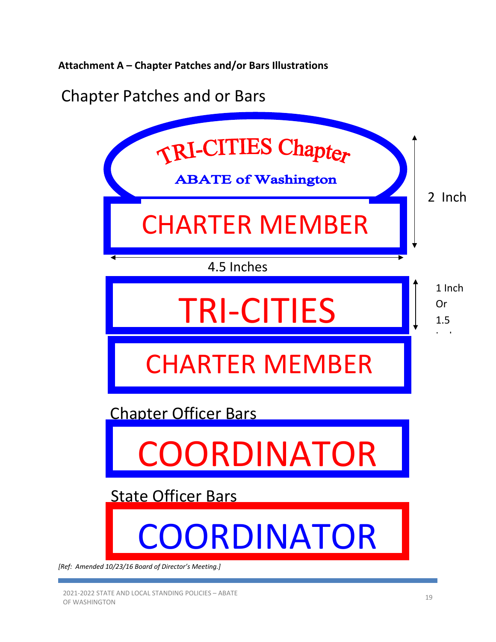**Attachment A – Chapter Patches and/or Bars Illustrations**

## Chapter Patches and or Bars